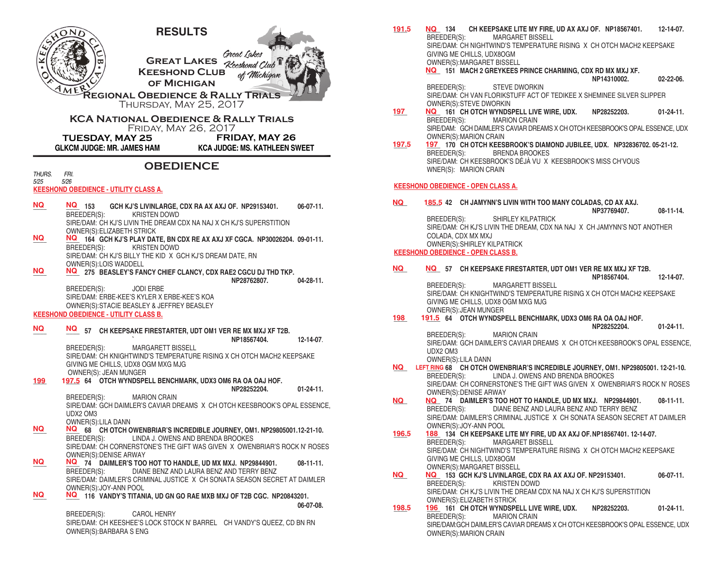

BREEDER(S): CAROL HENRY SIRE/DAM: CH KEESHEE'S LOCK STOCK N' BARREL CH VANDY'S QUEEZ, CD BN RN OWNER(S):BARBARA S ENG

OWNER(S):MARGARET BISSELL **\_\_\_\_ 151 MACH 2 GREYKEES PRINCE CHARMING, CDX RD MX MXJ XF. NQ NP14310002. 02-22-06.** BREEDER(S): STEVE DWORKIN SIRE/DAM: CH VAN FLORIKSTUFF ACT OF TEDIKEE X SHEMINEE SILVER SLIPPER OWNER(S):STEVE DWORKIN **\_\_\_\_ \_\_\_\_ 161 CH OTCH WYNDSPELL LIVE WIRE, UDX. NP28252203. 01-24-11. MARION CRAIN** SIRE/DAM: GCH DAIMLER'S CAVIAR DREAMS X CH OTCH KEESBROOK'S OPAL ESSENCE, UDX OWNER(S):MARION CRAIN **\_\_\_\_ \_\_\_\_ 170 CH OTCH KEESBROOK'S DIAMOND JUBILEE, UDX. NP32836702. 05-21-12.** BRENDA BROOKES SIRE/DAM: CH KEESBROOK'S DÉJÀ VU X KEESBROOK'S MISS CH'VOUS WNER(S): MARION CRAIN **KEESHOND OBEDIENCE - OPEN CLASS A. \_\_\_\_ \_\_\_\_ 42 CH JAMYNN'S LIVIN WITH TOO MANY COLADAS, CD AX AXJ. NQ 185.5 NP37769407. 08-11-14.** BREEDER(S): SHIRLEY KILPATRICK SIRE/DAM: CH KJ'S LIVIN THE DREAM, CDX NA NAJ X CH JAMYNN'S NOT ANOTHER COLADA, CDX MX MXJ OWNER(S):SHIRLEY KILPATRICK **KEESHOND OBEDIENCE - OPEN CLASS B. \_\_\_\_ \_\_\_\_ 57 CH KEEPSAKE FIRESTARTER, UDT OM1 VER RE MX MXJ XF T2B. NP18567404. 12-14-07.** BREEDER(S): MARGARETT BISSELL SIRE/DAM: CH KNIGHTWIND'S TEMPERATURE RISING X CH OTCH MACH2 KEEPSAKE GIVING ME CHILLS, UDX8 OGM MXG MJG OWNER(S):JEAN MUNGER **\_\_\_\_ \_\_\_\_ 64 OTCH WYNDSPELL BENCHMARK, UDX3 OM6 RA OA OAJ HOF. NP28252204. 01-24-11.** BREEDER(S): MARION CRAIN SIRE/DAM: GCH DAIMLER'S CAVIAR DREAMS X CH OTCH KEESBROOK'S OPAL ESSENCE, UDX2 OM3 OWNER(S):LILA DANN **\_\_\_\_ \_\_\_\_ 68 CH OTCH OWENBRIAR'S INCREDIBLE JOURNEY, OM1. NP29805001. 12-21-10. NQ LEFT RING** BREEDER(S): LINDA J. OWENS AND BRENDA BROOKES SIRE/DAM: CH CORNERSTONE'S THE GIFT WAS GIVEN X OWENBRIAR'S ROCK N' ROSES OWNER(S):DENISE ARWAY **\_\_\_\_ \_\_\_\_ 74 DAIMLER'S TOO HOT TO HANDLE, UD MX MXJ. NP29844901. 08-11-11.** DIANE BENZ AND LAURA BENZ AND TERRY BENZ SIRE/DAM: DAIMLER'S CRIMINAL JUSTICE X CH SONATA SEASON SECRET AT DAIMLER OWNER(S):JOY-ANN POOL **188 134 CH KEEPSAKE LITE MY FIRE, UD AX AXJ OF. NP18567401. 12-14-07.**<br>BREEDER(S): MARGARET BISSELL MARGARET BISSELL SIRE/DAM: CH NIGHTWIND'S TEMPERATURE RISING X CH OTCH MACH2 KEEPSAKE GIVING ME CHILLS, UDX8OGM OWNER(S):MARGARET BISSELL **NO** 153 GCH KJ'S LIVINLARGE, CDX RA AX AXJ OF. NP29153401. 06-07-11.<br>RREEDER(S): KRISTEN DOWD KRISTEN DOWD SIRE/DAM: CH KJ'S LIVIN THE DREAM CDX NA NAJ X CH KJ'S SUPERSTITION OWNER(S):ELIZABETH STRICK **\_\_\_\_ \_\_\_\_ 161 CH OTCH WYNDSPELL LIVE WIRE, UDX. NP28252203. 01-24-11. MARION CRAIN** SIRE/DAM:GCH DAIMLER'S CAVIAR DREAMS X CH OTCH KEESBROOK'S OPAL ESSENCE, UDX OWNER(S):MARION CRAIN **197 NQ 197.5 NQ NQ 198 191.5 NQ NQ 196.5 188 NQ NQ 198.5 196**

**NO** 134 CH KEEPSAKE LITE MY FIRE, UD AX AXJ OF. NP18567401. 12-14-07.<br>BREEDER(S): MARGARET BISSELL

SIRE/DAM: CH NIGHTWIND'S TEMPERATURE RISING X CH OTCH MACH2 KEEPSAKE

MARGARET BISSELL

GIVING ME CHILLS, UDX8OGM

**191.5 NQ**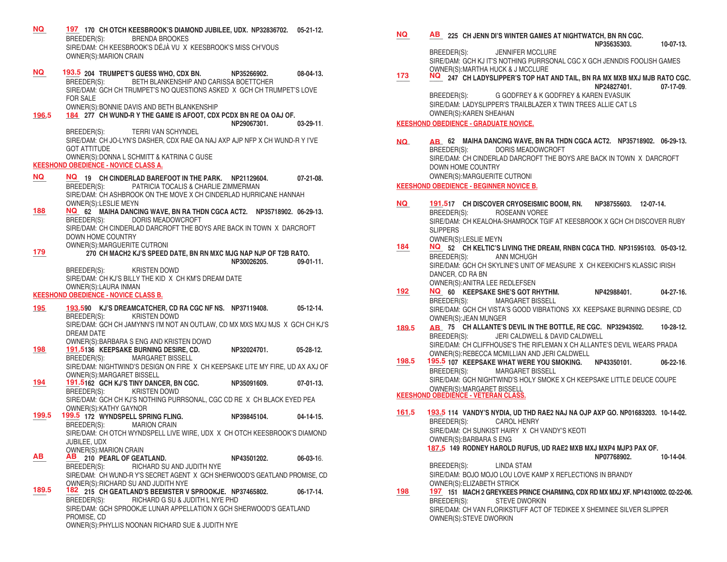**\_\_\_\_ \_\_\_\_ 170 CH OTCH KEESBROOK'S DIAMOND JUBILEE, UDX. NP32836702. 05-21-12. NQ 197** BREEDER(S): BRENDA BROOKES SIRE/DAM: CH KEESBROOK'S DÉJÀ VU X KEESBROOK'S MISS CH'VOUS OWNER(S):MARION CRAIN **\_\_\_\_ \_\_\_\_ 204 TRUMPET'S GUESS WHO, CDX BN. NP35266902. 08-04-13. NQ 193.5** BREEDER(S): BETH BLANKENSHIP AND CARISSA BOETTCHER SIRE/DAM: GCH CH TRUMPET'S NO QUESTIONS ASKED X GCH CH TRUMPET'S LOVE FOR SALE OWNER(S):BONNIE DAVIS AND BETH BLANKENSHIP **\_\_\_\_ \_\_\_\_ 277 CH WUND-R Y THE GAME IS AFOOT, CDX PCDX BN RE OA OAJ OF. NP29067301. 03-29-11**. BREEDER(S): TERRI VAN SCHYNDEL SIRE/DAM: CH JO-LYN'S DASHER, CDX RAE OA NAJ AXP AJP NFP X CH WUND-R Y I'VE GOT ATTITUDE OWNER(S):DONNA L SCHMITT & KATRINA C GUSE **KEESHOND OBEDIENCE - NOVICE CLASS A. \_\_\_\_ \_\_\_\_ 19 CH CINDERLAD BAREFOOT IN THE PARK. NP21129604. 07-21-08. NQ NQ** BREEDER(S): PATRICIA TOCALIS & CHARLIE ZIMMERMAN SIRE/DAM: CH ASHBROOK ON THE MOVE X CH CINDERLAD HURRICANE HANNAH OWNER(S):LESLIE MEYN **\_\_\_\_ \_\_\_\_ 62 MAIHA DANCING WAVE, BN RA THDN CGCA ACT2. NP35718902. 06-29-13. 188 NQ** BREEDER(S): DORIS MEADOWCROFT SIRE/DAM: CH CINDERLAD DARCROFT THE BOYS ARE BACK IN TOWN X DARCROFT DOWN HOME COUNTRY OWNER(S):MARGUERITE CUTRONI **\_\_\_\_ 270 CH MACH2 KJ'S SPEED DATE, BN RN MXC MJG NAP NJP OF T2B RATO. RP30026205. 09-01-11. BREEDER(S): CRIPS CRIPS CRIPS CRIPS CRIPS CRIPS CRIPS CRIPS CRIPS CRIPS CRIPS CRIPS CRIPS CRIPS CRIPS CRIPS CRIPS CRIPS CRIPS CRIPS CRIPS CRIPS CRIPS** KRISTEN DOWD SIRE/DAM: CH KJ'S BILLY THE KID X CH KM'S DREAM DATE OWNER(S):LAURA INMAN **KEESHOND OBEDIENCE - NOVICE CLASS B. \_\_\_\_ \_\_\_\_ 90 KJ'S DREAMCATCHER, CD RA CGC NF NS. NP37119408. 05-12-14. 195 193.5** BREEDER(S): KRISTEN DOWD SIRE/DAM: GCH CH JAMYNN'S I'M NOT AN OUTLAW, CD MX MXS MXJ MJS X GCH CH KJ'S DREAM DATE OWNER(S):BARBARA S ENG AND KRISTEN DOWD **\_\_\_\_ \_\_\_\_ 136 KEEPSAKE BURNING DESIRE, CD. NP32024701. 05-28-12. 198 191.5** BREEDER(S): MARGARET BISSELL SIRE/DAM: NIGHTWIND'S DESIGN ON FIRE X CH KEEPSAKE LITE MY FIRE, UD AX AXJ OF OWNER(S):MARGARET BISSELL **\_\_\_\_ \_\_\_\_ 162 GCH KJ'S TINY DANCER, BN CGC. NP35091609. 07-01-13. 194 191.5** BREEDER(S): KRISTEN DOWD SIRE/DAM: GCH CH KJ'S NOTHING PURRSONAL, CGC CD RE X CH BLACK EYED PEA OWNER(S):KATHY GAYNOR **\_\_\_\_ \_\_\_\_ 172 WYNDSPELL SPRING FLING. NP39845104. 04-14-15. 199.5 199.5** BREEDER(S): MARION CRAIN SIRE/DAM: CH OTCH WYNDSPELL LIVE WIRE, UDX X CH OTCH KEESBROOK'S DIAMOND JUBILEE, UDX OWNER(S):MARION CRAIN **\_\_\_\_ \_\_\_\_ 210 PEARL OF GEATLAND. NP43501202. 06-03-1**6. **AB AB** BREEDER(S): RICHARD SU AND JUDITH NYE SIRE/DAM: CH WUND-R Y'S SECRET AGENT X GCH SHERWOOD'S GEATLAND PROMISE, CD OWNER(S):RICHARD SU AND JUDITH NYE **\_\_\_\_ \_\_\_\_ 215 CH GEATLAND'S BEEMSTER V SPROOKJE. NP37465802. 06-17-14.** BREEDER(S): RICHARD G SU & JUDITH L NYE PHD SIRE/DAM: GCH SPROOKJE LUNAR APPELLATION X GCH SHERWOOD'S GEATLAND PROMISE, CD OWNER(S):PHYLLIS NOONAN RICHARD SUE & JUDITH NYE **196.5 184 179 189.5 182 NQ AB**

 **NP35635303. 10-07-13.** JENNIFER MCCLURE SIRE/DAM: GCH KJ IT'S NOTHING PURRSONAL CGC X GCH JENNDIS FOOLISH GAMES OWNER(S):MARTHA HUCK & J MCCLURE  $\frac{173}{2}$  **NQ** 247 CH LADYSLIPPER'S TOP HAT AND TAIL, BN RA MX MXB MXJ MJB RATO CGC.  **NP24827401. 07-17-09**. BREEDER(S): G GODFREY & K GODFREY & KAREN EVASUIK SIRE/DAM: LADYSLIPPER'S TRAILBLAZER X TWIN TREES ALLIE CAT LS OWNER(S):KAREN SHEAHAN **KEESHOND OBEDIENCE - GRADUATE NOVICE. \_\_\_\_ \_\_\_\_ 62 MAIHA DANCING WAVE, BN RA THDN CGCA ACT2. NP35718902. 06-29-13.**  DORIS MEADOWCROFT SIRE/DAM: CH CINDERLAD DARCROFT THE BOYS ARE BACK IN TOWN X DARCROFT DOWN HOME COUNTRY OWNER(S):MARGUERITE CUTRONI **KEESHOND OBEDIENCE - BEGINNER NOVICE B. \_\_\_\_ \_\_\_\_ 17 CH DISCOVER CRYOSEISMIC BOOM, RN. NP38755603. 12-07-14. NQ 191.5** BREEDER(S): ROSEANN VOREE SIRE/DAM: CH KEALOHA-SHAMROCK TGIF AT KEESBROOK X GCH CH DISCOVER RUBY **SLIPPERS** OWNER(S):LESLIE MEYN **\_\_\_\_ \_\_\_\_ 52 CH KELTIC'S LIVING THE DREAM, RNBN CGCA THD. NP31595103. 05-03-12. 184 NQ** BREEDER(S): ANN MCHUGH SIRE/DAM: GCH CH SKYLINE'S UNIT OF MEASURE X CH KEEKICHI'S KLASSIC IRISH DANCER, CD RA BN OWNER(S):ANITRA LEE REDLEFSEN **\_\_\_\_ \_\_\_\_ 60 KEEPSAKE SHE'S GOT RHYTHM. NP42988401. 04-27-16. 192 NQ** BREEDER(S): MARGARET BISSELL SIRE/DAM: GCH CH VISTA'S GOOD VIBRATIONS XX KEEPSAKE BURNING DESIRE, CD OWNER(S):JEAN MUNGER **\_\_\_\_ \_\_\_\_ 75 CH ALLANTE'S DEVIL IN THE BOTTLE, RE CGC. NP32943502. 10-28-12.** BREEDER(S): JERI CALDWELL & DAVID CALDWELL SIRE/DAM: CH CLIFFHOUSE'S THE RIFLEMAN X CH ALLANTE'S DEVIL WEARS PRADA OWNER(S):REBECCA MCMILLIAN AND JERI CALDWELL **\_\_\_\_ \_\_\_\_ 107 KEEPSAKE WHAT WERE YOU SMOKING. NP43350101. 06-22-16**. **198.5 195.5** BREEDER(S): MARGARET BISSELL SIRE/DAM: GCH NIGHTWIND'S HOLY SMOKE X CH KEEPSAKE LITTLE DEUCE COUPE OWNER(S):MARGARET BISSELL **KEESHOND OBEDIENCE - VETERAN CLASS. \_\_\_\_ \_\_\_\_ 114 VANDY'S NYDIA, UD THD RAE2 NAJ NA OJP AXP GO. NP01683203. 10-14-02. 161.5 193.5** BREEDER(S): CAROL HENRY SIRE/DAM: CH SUNKIST HAIRY X CH VANDY'S KEOTI OWNER(S):BARBARA S ENG **\_\_\_\_ 149 RODNEY HAROLD RUFUS, UD RAE2 MXB MXJ MXP4 MJP3 PAX OF. 187.5 NP07768902. 10-14-04**. BREEDER(S): LINDA STAM SIRE/DAM: BOJO MOJO LOU LOVE KAMP X REFLECTIONS IN BRANDY OWNER(S):ELIZABETH STRICK **\_\_\_\_ \_\_\_\_ 151 MACH 2 GREYKEES PRINCE CHARMING, CDX RD MX MXJ XF. NP14310002. 02-22-06. 198 197NQ AB 189.5 AB**

**\_\_\_\_ \_\_\_\_ 225 CH JENN DI'S WINTER GAMES AT NIGHTWATCH, BN RN CGC.** 

BREEDER(S): STEVE DWORKIN SIRE/DAM: CH VAN FLORIKSTUFF ACT OF TEDIKEE X SHEMINEE SILVER SLIPPER OWNER(S):STEVE DWORKIN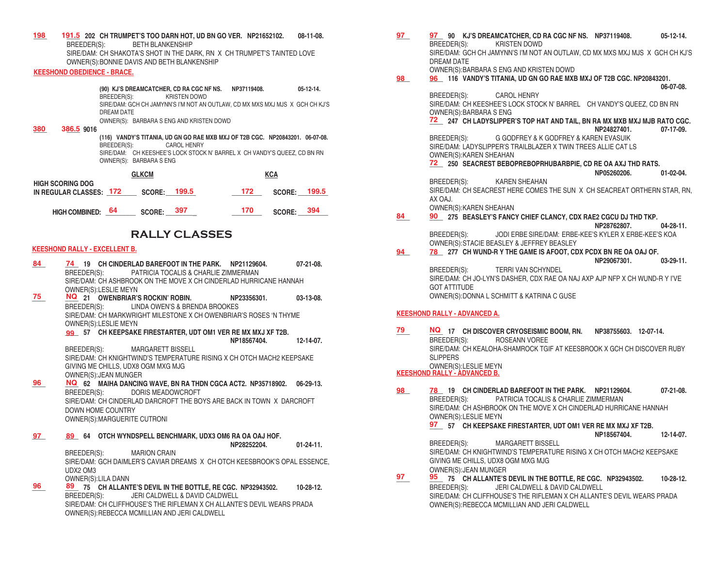**198 191.5** 202 CH TRUMPET'S TOO DARN HOT, UD BN GO VER. NP21652102. 08-11-08. BREEDER(S): BETH BLANKENSHIP SIRE/DAM: CH SHAKOTA'S SHOT IN THE DARK, RN X CH TRUMPET'S TAINTED LOVE OWNER(S):BONNIE DAVIS AND BETH BLANKENSHIP

## **KEESHOND OBEDIENCE - BRACE.**

 **(90) KJ'S DREAMCATCHER, CD RA CGC NF NS. NP37119408. 05-12-14.** BREEDER(S): KRISTEN DOWD SIRE/DAM: GCH CH JAMYNN'S I'M NOT AN OUTLAW, CD MX MXS MXJ MJS X GCH CH KJ'S DREAM DATE OWNER(S): BARBARA S ENG AND KRISTEN DOWD

**\_\_\_\_ \_\_\_\_ 9016 380 386.5**

 **(116) VANDY'S TITANIA, UD GN GO RAE MXB MXJ OF T2B CGC. NP20843201. 06-07-08.** CAROL HENRY SIRE/DAM: CH KEESHEE'S LOCK STOCK N' BARREL X CH VANDY'S QUEEZ, CD BN RN OWNER(S): BARBARA S ENG

|                                                    | <b>GLKCM</b> |               |       | <b>KCA</b> |               |       |
|----------------------------------------------------|--------------|---------------|-------|------------|---------------|-------|
| <b>HIGH SCORING DOG</b><br>IN REGULAR CLASSES: 172 |              | <b>SCORE:</b> | 199.5 | 172.       | <b>SCORE:</b> | 199.5 |
| <b>HIGH COMBINED:</b>                              | - 64         | SCORE: 397    |       | 170        | <b>SCORE:</b> | 394   |

# **RALLY CLASSES**

### **KEESHOND RALLY - EXCELLENT B.**

**\_\_\_\_ \_\_\_\_ 19 CH CINDERLAD BAREFOOT IN THE PARK. NP21129604. 07-21-08.**  BREEDER(S): PATRICIA TOCALIS & CHARLIE ZIMMERMAN SIRE/DAM: CH ASHBROOK ON THE MOVE X CH CINDERLAD HURRICANE HANNAH OWNER(S):LESLIE MEYN **\_\_\_\_ \_\_\_\_ 21 OWENBRIAR'S ROCKIN' ROBIN. NP23356301. 03-13-08. 75 NQ** BREEDER(S): LINDA OWEN'S & BRENDA BROOKES **84 74**

SIRE/DAM: CH MARKWRIGHT MILESTONE X CH OWENBRIAR'S ROSES 'N THYME OWNER(S): LESLIE MEYN

**\_\_\_\_ 57 CH KEEPSAKE FIRESTARTER, UDT OM1 VER RE MX MXJ XF T2B. 99 NP18567404. 12-14-07.**

BREEDER(S): MARGARETT BISSELL SIRE/DAM: CH KNIGHTWIND'S TEMPERATURE RISING X CH OTCH MACH2 KEEPSAKE GIVING ME CHILLS, UDX8 OGM MXG MJG OWNER(S):JEAN MUNGER

- **\_\_\_\_ \_\_\_\_ 62 MAIHA DANCING WAVE, BN RA THDN CGCA ACT2. NP35718902. 06-29-13. 96 NQ** BREEDER(S): DORIS MEADOWCROFT SIRE/DAM: CH CINDERLAD DARCROFT THE BOYS ARE BACK IN TOWN X DARCROFT DOWN HOME COUNTRY OWNER(S):MARGUERITE CUTRONI
- **\_\_\_\_ \_\_\_\_ 64 OTCH WYNDSPELL BENCHMARK, UDX3 OM6 RA OA OAJ HOF. 97**

 **NP28252204. 01-24-11.** BREEDER(S): MARION CRAIN SIRE/DAM: GCH DAIMLER'S CAVIAR DREAMS X CH OTCH KEESBROOK'S OPAL ESSENCE, UDX2 OM3 OWNER(S):LILA DANN

**\_\_\_\_ \_\_\_\_ 75 CH ALLANTE'S DEVIL IN THE BOTTLE, RE CGC. NP32943502. 10-28-12. 96 89** BREEDER(S): JERI CALDWELL & DAVID CALDWELL SIRE/DAM: CH CLIFFHOUSE'S THE RIFLEMAN X CH ALLANTE'S DEVIL WEARS PRADA OWNER(S):REBECCA MCMILLIAN AND JERI CALDWELL

- **\_\_\_\_ \_\_\_\_ 90 KJ'S DREAMCATCHER, CD RA CGC NF NS. NP37119408. 05-12-14.** KRISTEN DOWD SIRE/DAM: GCH CH JAMYNN'S I'M NOT AN OUTLAW, CD MX MXS MXJ MJS X GCH CH KJ'S DREAM DATE OWNER(S):BARBARA S ENG AND KRISTEN DOWD **97 97 98 96**
- **\_\_\_\_ \_\_\_\_ 116 VANDY'S TITANIA, UD GN GO RAE MXB MXJ OF T2B CGC. NP20843201. 06-07-08.**

BREEDER(S): CAROL HENRY SIRE/DAM: CH KEESHEE'S LOCK STOCK N' BARREL CH VANDY'S QUEEZ, CD BN RN OWNER(S):BARBARA S ENG

**\_\_\_\_ 247 CH LADYSLIPPER'S TOP HAT AND TAIL, BN RA MX MXB MXJ MJB RATO CGC. 72 NP24827401. 07-17-09.** BREEDER(S): G GODFREY & K GODFREY & KAREN EVASUIK

SIRE/DAM: LADYSLIPPER'S TRAILBLAZER X TWIN TREES ALLIE CAT LS OWNER(S):KAREN SHEAHAN

**\_\_\_\_ 250 SEACREST BEBOPREBOPRHUBARBPIE, CD RE OA AXJ THD RATS. 72**

 **NP05260206. 01-02-04.**

BREEDER(S): KAREN SHEAHAN SIRE/DAM: CH SEACREST HERE COMES THE SUN X CH SEACREAT ORTHERN STAR, RN, AX OAJ.

OWNER(S):KAREN SHEAHAN

- **\_\_\_\_ \_\_\_\_ 275 BEASLEY'S FANCY CHIEF CLANCY, CDX RAE2 CGCU DJ THD TKP. NP28762807. 04-28-11.** BREEDER(S): JODI ERBE SIRE/DAM: ERBE-KEE'S KYLER X ERBE-KEE'S KOA OWNER(S):STACIE BEASLEY & JEFFREY BEASLEY **84 90**
- **\_\_\_\_ \_\_\_\_ 277 CH WUND-R Y THE GAME IS AFOOT, CDX PCDX BN RE OA OAJ OF. NP29067301. 03-29-11.** BREEDER(S): TERRI VAN SCHYNDEL SIRE/DAM: CH JO-LYN'S DASHER, CDX RAE OA NAJ AXP AJP NFP X CH WUND-R Y I'VE GOT ATTITUDE OWNER(S):DONNA L SCHMITT & KATRINA C GUSE **94 78**

#### **KEESHOND RALLY - ADVANCED A.**

**\_\_\_\_ \_\_\_\_ 17 CH DISCOVER CRYOSEISMIC BOOM, RN. NP38755603. 12-07-14. 79 NQ** BREEDER(S): ROSEANN VOREE SIRE/DAM: CH KEALOHA-SHAMROCK TGIF AT KEESBROOK X GCH CH DISCOVER RUBY SLIPPERS OWNER(S):LESLIE MEYN **KEESHOND RALLY - ADVANCED B.**

#### **\_\_\_\_ \_\_\_\_ 19 CH CINDERLAD BAREFOOT IN THE PARK. NP21129604. 07-21-08.** BREEDER(S): PATRICIA TOCALIS & CHARLIE ZIMMERMAN SIRE/DAM: CH ASHBROOK ON THE MOVE X CH CINDERLAD HURRICANE HANNAH OWNER(S):LESLIE MEYN **\_\_\_\_ 57 CH KEEPSAKE FIRESTARTER, UDT OM1 VER RE MX MXJ XF T2B. 97 NP18567404. 12-14-07.** BREEDER(S): MARGARETT BISSELL SIRE/DAM: CH KNIGHTWIND'S TEMPERATURE RISING X CH OTCH MACH2 KEEPSAKE GIVING ME CHILLS, UDX8 OGM MXG MJG OWNER(S):JEAN MUNGER **\_\_\_\_ \_\_\_\_ 75 CH ALLANTE'S DEVIL IN THE BOTTLE, RE CGC. NP32943502. 10-28-12. 97 95** BREEDER(S): JERI CALDWELL & DAVID CALDWELL **98 78**

SIRE/DAM: CH CLIFFHOUSE'S THE RIFLEMAN X CH ALLANTE'S DEVIL WEARS PRADA OWNER(S):REBECCA MCMILLIAN AND JERI CALDWELL